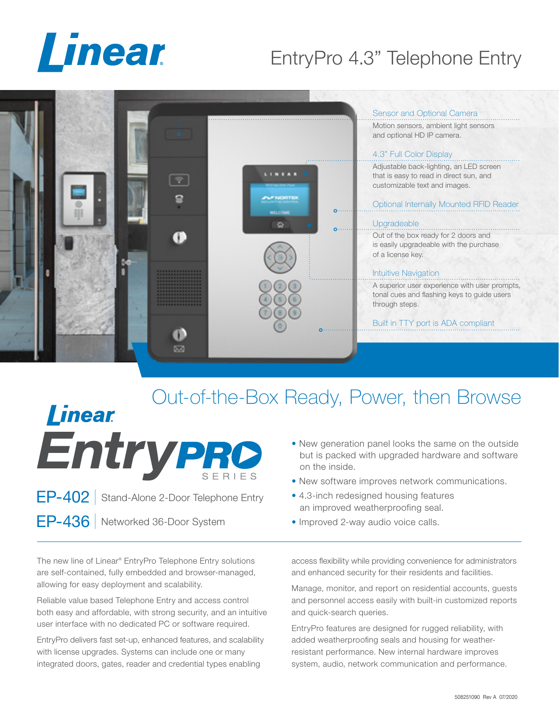

# EntryPro 4.3" Telephone Entry



### Out-of-the-Box Ready, Power, then Browse **Linear** Entrypro • New generation panel looks the same on the outside but is packed with upgraded hardware and software on the inside.

- New software improves network communications.
- 4.3-inch redesigned housing features an improved weatherproofing seal.
- Improved 2-way audio voice calls.

The new line of Linear® EntryPro Telephone Entry solutions are self-contained, fully embedded and browser-managed, allowing for easy deployment and scalability.

EP-402 | Stand-Alone 2-Door Telephone Entry

EP-436 | Networked 36-Door System

Reliable value based Telephone Entry and access control both easy and affordable, with strong security, and an intuitive user interface with no dedicated PC or software required.

EntryPro delivers fast set-up, enhanced features, and scalability with license upgrades. Systems can include one or many integrated doors, gates, reader and credential types enabling

access flexibility while providing convenience for administrators and enhanced security for their residents and facilities.

Manage, monitor, and report on residential accounts, guests and personnel access easily with built-in customized reports and quick-search queries.

EntryPro features are designed for rugged reliability, with added weatherproofing seals and housing for weatherresistant performance. New internal hardware improves system, audio, network communication and performance.